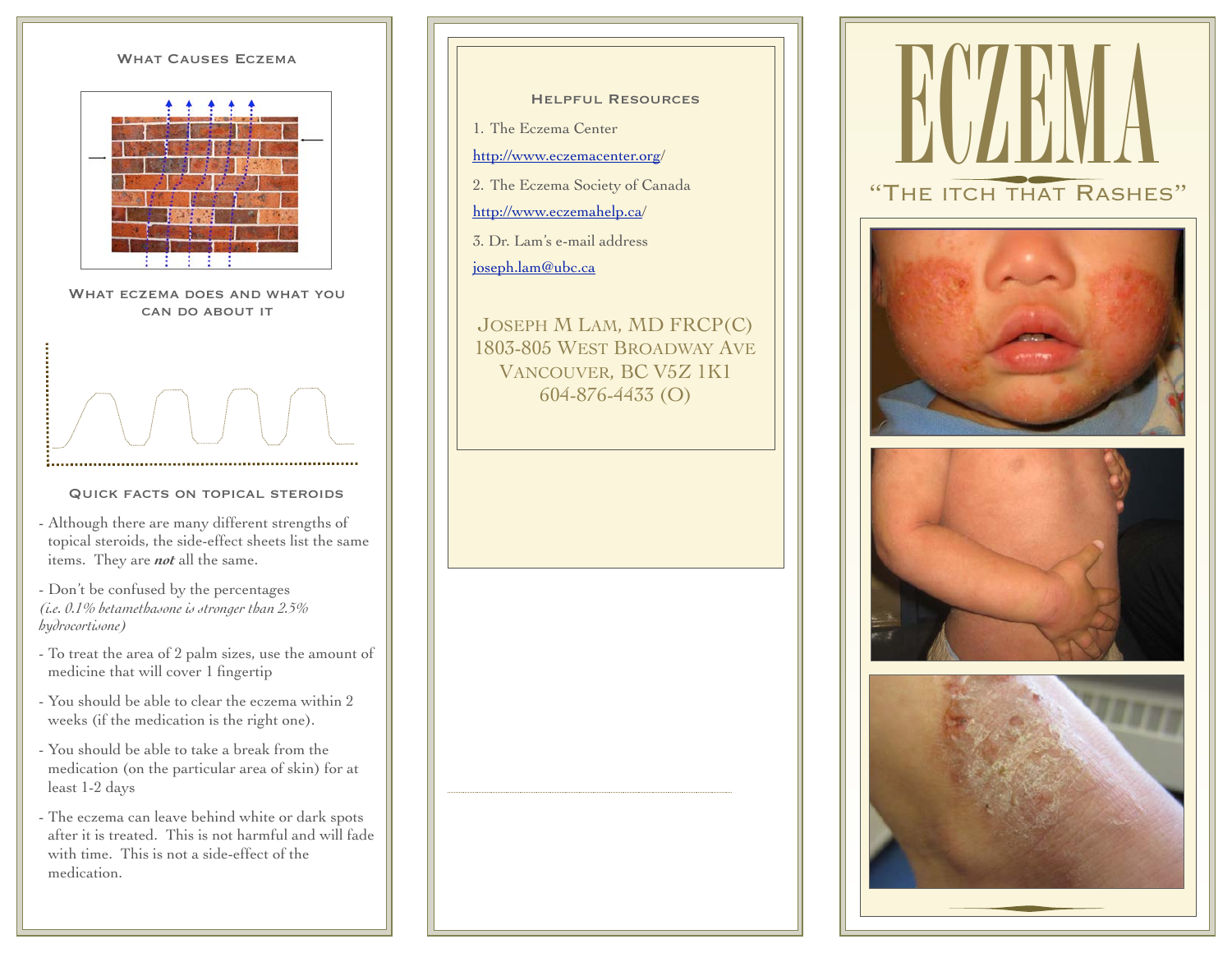# WHAT CAUSES ECZEMA



WHAT ECZEMA DOES AND WHAT YOU can do about it

#### Quick facts on topical steroids

- Although there are many different strengths of topical steroids, the side-effect sheets list the same items. They are *not* all the same.

- Don't be confused by the percentages *(i.e. 0.1% betamethasone is stronger than 2.5% hydrocortisone)*

- To treat the area of 2 palm sizes, use the amount of medicine that will cover 1 fingertip
- You should be able to clear the eczema within 2 weeks (if the medication is the right one).
- You should be able to take a break from the medication (on the particular area of skin) for at least 1-2 days
- The eczema can leave behind white or dark spots after it is treated. This is not harmful and will fade with time. This is not a side-effect of the medication.
- Helpful Resources
- 1. The Eczema Center
- [http://www.eczemacenter.org/](http://www.eczemacenter.org)
- 2. The Eczema Society of Canada
- [http://www.eczemahelp.ca/](http://www.eczemahelp.ca)
- 3. Dr. Lam's e-mail address [joseph.lam@ubc.ca](mailto:dr.joseph.lam@gmail.com)

JOSEPH M LAM, MD FRCP(C) 1803-805 WEST BROADWAY AVE VANCOUVER, BC V5Z 1K1 604-876-4433 (O)